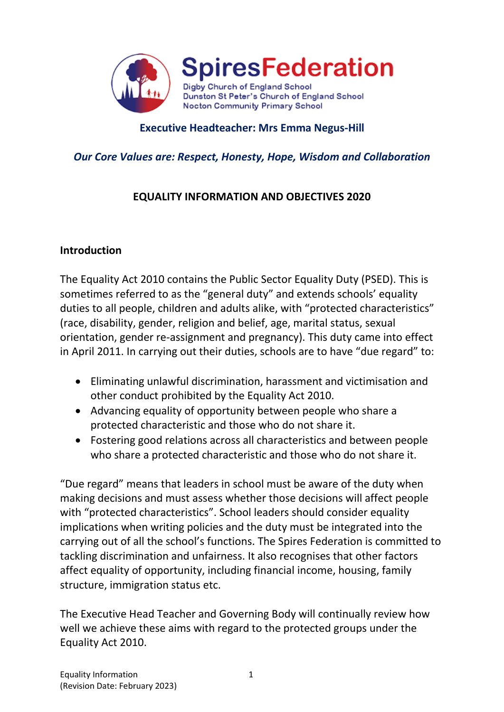

## **Executive Headteacher: Mrs Emma Negus-Hill**

## *Our Core Values are: Respect, Honesty, Hope, Wisdom and Collaboration*

# **EQUALITY INFORMATION AND OBJECTIVES 2020**

#### **Introduction**

The Equality Act 2010 contains the Public Sector Equality Duty (PSED). This is sometimes referred to as the "general duty" and extends schools' equality duties to all people, children and adults alike, with "protected characteristics" (race, disability, gender, religion and belief, age, marital status, sexual orientation, gender re-assignment and pregnancy). This duty came into effect in April 2011. In carrying out their duties, schools are to have "due regard" to:

- Eliminating unlawful discrimination, harassment and victimisation and other conduct prohibited by the Equality Act 2010.
- Advancing equality of opportunity between people who share a protected characteristic and those who do not share it.
- Fostering good relations across all characteristics and between people who share a protected characteristic and those who do not share it.

"Due regard" means that leaders in school must be aware of the duty when making decisions and must assess whether those decisions will affect people with "protected characteristics". School leaders should consider equality implications when writing policies and the duty must be integrated into the carrying out of all the school's functions. The Spires Federation is committed to tackling discrimination and unfairness. It also recognises that other factors affect equality of opportunity, including financial income, housing, family structure, immigration status etc.

The Executive Head Teacher and Governing Body will continually review how well we achieve these aims with regard to the protected groups under the Equality Act 2010.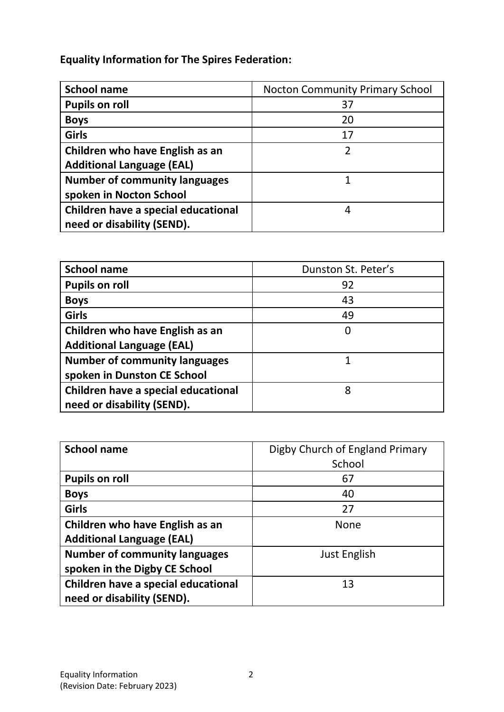**Equality Information for The Spires Federation:**

| <b>School name</b>                   | <b>Nocton Community Primary School</b> |
|--------------------------------------|----------------------------------------|
| <b>Pupils on roll</b>                | 37                                     |
| <b>Boys</b>                          | 20                                     |
| Girls                                | 17                                     |
| Children who have English as an      | 2                                      |
| <b>Additional Language (EAL)</b>     |                                        |
| <b>Number of community languages</b> |                                        |
| spoken in Nocton School              |                                        |
| Children have a special educational  | 4                                      |
| need or disability (SEND).           |                                        |

| <b>School name</b>                   | Dunston St. Peter's |
|--------------------------------------|---------------------|
| <b>Pupils on roll</b>                | 92                  |
| <b>Boys</b>                          | 43                  |
| Girls                                | 49                  |
| Children who have English as an      | 0                   |
| <b>Additional Language (EAL)</b>     |                     |
| <b>Number of community languages</b> |                     |
| spoken in Dunston CE School          |                     |
| Children have a special educational  | 8                   |
| need or disability (SEND).           |                     |

| <b>School name</b>                   | Digby Church of England Primary |
|--------------------------------------|---------------------------------|
|                                      | School                          |
| <b>Pupils on roll</b>                | 67                              |
| <b>Boys</b>                          | 40                              |
| <b>Girls</b>                         | 27                              |
| Children who have English as an      | <b>None</b>                     |
| <b>Additional Language (EAL)</b>     |                                 |
| <b>Number of community languages</b> | Just English                    |
| spoken in the Digby CE School        |                                 |
| Children have a special educational  | 13                              |
| need or disability (SEND).           |                                 |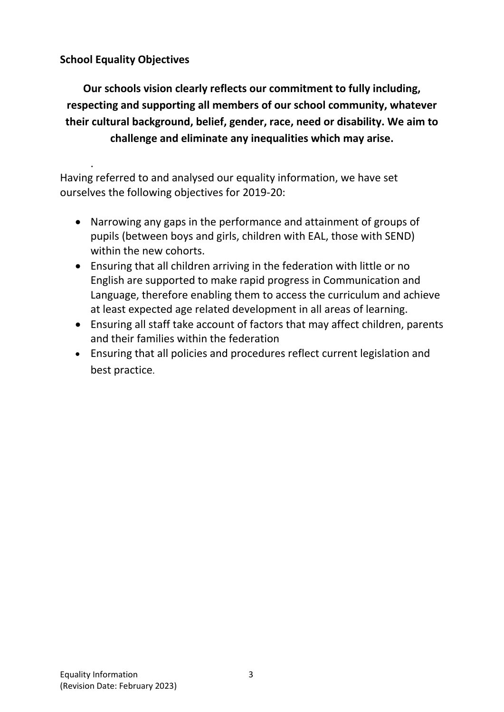# **School Equality Objectives**

**Our schools vision clearly reflects our commitment to fully including, respecting and supporting all members of our school community, whatever their cultural background, belief, gender, race, need or disability. We aim to challenge and eliminate any inequalities which may arise.**

. Having referred to and analysed our equality information, we have set ourselves the following objectives for 2019-20:

- Narrowing any gaps in the performance and attainment of groups of pupils (between boys and girls, children with EAL, those with SEND) within the new cohorts.
- Ensuring that all children arriving in the federation with little or no English are supported to make rapid progress in Communication and Language, therefore enabling them to access the curriculum and achieve at least expected age related development in all areas of learning.
- Ensuring all staff take account of factors that may affect children, parents and their families within the federation
- Ensuring that all policies and procedures reflect current legislation and best practice.